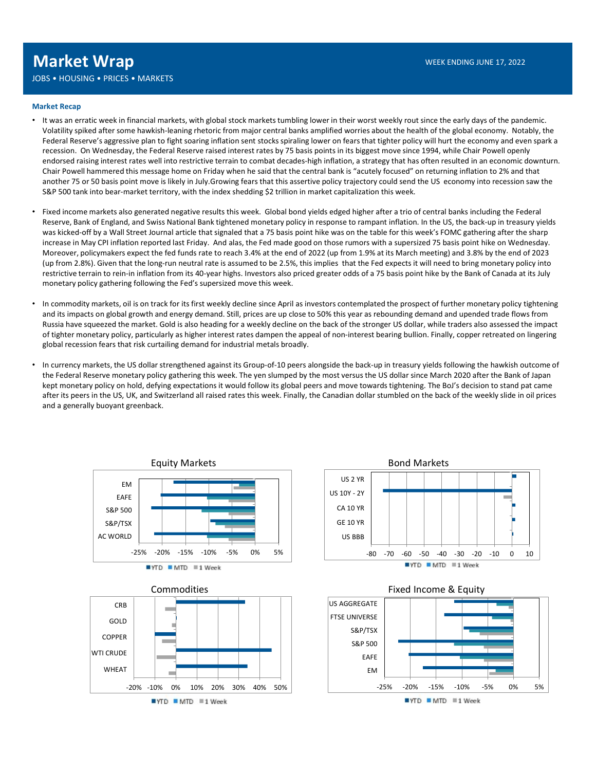JOBS • HOUSING • PRICES • MARKETS

### Market Recap

- **FACT WER SHOT STATES FOR THE CONSUMITS CONSUMITS AND THE CONSUMITS CONSUMITS AND THE CONSUMITS AND THE CONSUMITS AND THE CONSULTS AND THE CONSULTS AND THE CONSULTS AND THE CONSULTS AND THE CONSULTS AND THE CONSULTS AND TH** Volatility spiked after some hawkish-leaning rhetoric from major central banks amplified worries about the health of the global economy. Notably, the Federal Reserve's aggressive plan to fight soaring inflation sent stocks spiraling lower on fears that tighter policy will hurt the economy and even spark a recession. On Wednesday, the Federal Reserve raised interest rates by 75 basis points in its biggest move since 1994, while Chair Powell openly endorsed raising interest rates well into restrictive terrain to combat decades-high inflation, a strategy that has often resulted in an economic downturn. WER ENDING INTERNATION WERE READING JUNE 17, 2022<br>
SERVIENCES A MARKETS<br>
The THE RECHAIR WERE READING A PROCESS A MARKETS<br>
THE RECHAIR WERE READING A PROCESS AND HE DISPLACE THE MEAN IS CONSIDED ONCE INTERNATION (THE READI another 75 or 50 basis point move is likely in July.Growing fears that this assertive policy trajectory could send the US economy into recession saw the S&P 500 tank into bear-market territory, with the index shedding \$2 trillion in market capitalization this week. **• In complete WTAD**<br>
• WERE SNONS UPSET SMARKETS<br>
• It was an erratic week in financial markets, with global stock markets tumbling lower in their worst weekly rout since the early days of the pandemic.<br>
• It was an erra as + HOUSING + PRICES + MARKETS<br>It was an errorit week in financial markets, with global stock markets tumbling lower in their worst weekly root since the early days of the pandemic.<br>It was an errorit weekly financial mark
- Fixed income markets also generated negative results this week. Global bond yields edged higher after a trio of central banks including the Federal Reserve, Bank of England, and Swiss National Bank tightened monetary policy in response to rampant inflation. In the US, the back-up in treasury yields was kicked-off by a Wall Street Journal article that signaled that a 75 basis point hike was on the table for this week's FOMC gathering after the sharp increase in May CPI inflation reported last Friday. And alas, the Fed made good on those rumors with a supersized 75 basis point hike on Wednesday. Moreover, policymakers expect the fed funds rate to reach 3.4% at the end of 2022 (up from 1.9% at its March meeting) and 3.8% by the end of 2023 (up from 2.8%). Given that the long-run neutral rate is assumed to be 2.5%, this implies that the Fed expects it will need to bring monetary policy into restrictive terrain to rein-in inflation from its 40-year highs. Investors also priced greater odds of a 75 basis point hike by the Bank of Canada at its July monetary policy gathering following the Fed's supersized move this week. • If vias an erratic week in noncial markets, with popola stoc markets union in the work webly rot since the experiment of the US dollar strengthened against the control of the US dollar strengthened and the US dollar stre vokative parear and some nowing-hearing mechanism magnebulgathering the most smaller policy and the healts of the most versus that an explorate the most versus that the most versus the most versus the most versus that the
- Russia have squeezed the market. Gold is also heading for a weekly decline on the back of the stronger US dollar, while traders also assessed the impact of tighter monetary policy, particularly as higher interest rates dampen the appeal of non-interest bearing bullion. Finally, copper retreated on lingering global recession fears that risk curtailing demand for industrial metals broadly.
- kept monetary policy on hold, defying expectations it would follow its global peers and move towards tightening. The BoJ's decision to stand pat came after its peers in the US, UK, and Switzerland all raised rates this week. Finally, the Canadian dollar stumbled on the back of the weekly slide in oil prices and a generally buoyant greenback.